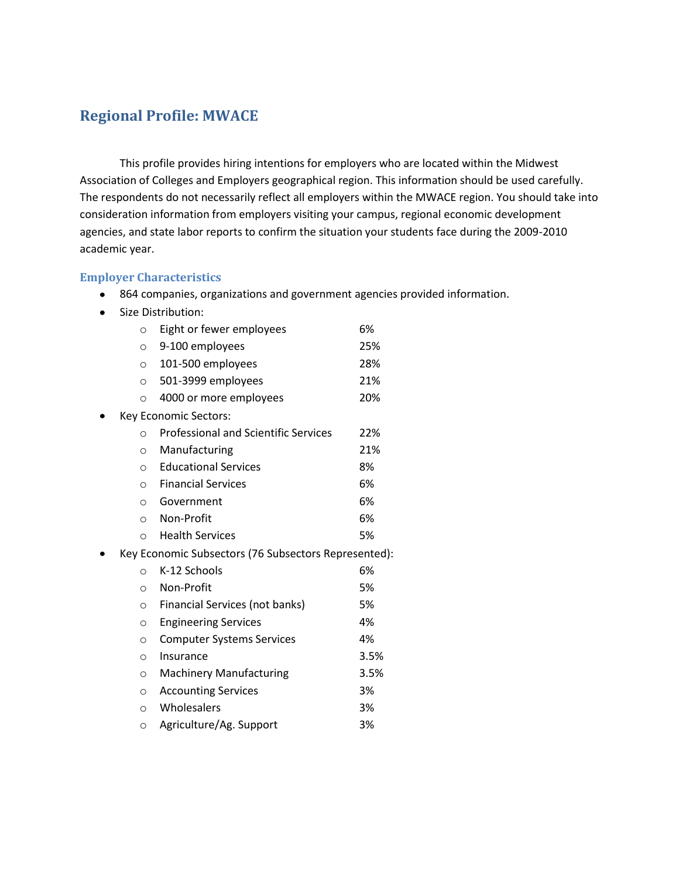# **Regional Profile: MWACE**

This profile provides hiring intentions for employers who are located within the Midwest Association of Colleges and Employers geographical region. This information should be used carefully. The respondents do not necessarily reflect all employers within the MWACE region. You should take into consideration information from employers visiting your campus, regional economic development agencies, and state labor reports to confirm the situation your students face during the 2009-2010 academic year.

#### **Employer Characteristics**

- 864 companies, organizations and government agencies provided information.
- Size Distribution:

| $\circ$ | Eight or fewer employees                             | 6%   |
|---------|------------------------------------------------------|------|
| $\circ$ | 9-100 employees                                      | 25%  |
| $\circ$ | 101-500 employees                                    | 28%  |
| $\circ$ | 501-3999 employees                                   | 21%  |
| $\circ$ | 4000 or more employees                               | 20%  |
|         | Key Economic Sectors:                                |      |
| O       | <b>Professional and Scientific Services</b>          | 22%  |
| $\circ$ | Manufacturing                                        | 21%  |
| $\circ$ | <b>Educational Services</b>                          | 8%   |
| $\circ$ | <b>Financial Services</b>                            | 6%   |
| $\circ$ | Government                                           | 6%   |
| $\circ$ | Non-Profit                                           | 6%   |
| $\circ$ | <b>Health Services</b>                               | 5%   |
|         | Key Economic Subsectors (76 Subsectors Represented): |      |
| $\circ$ | K-12 Schools                                         | 6%   |
| $\circ$ | Non-Profit                                           | 5%   |
| $\circ$ | Financial Services (not banks)                       | 5%   |
| $\circ$ | <b>Engineering Services</b>                          | 4%   |
| $\circ$ | <b>Computer Systems Services</b>                     | 4%   |
| $\circ$ | Insurance                                            | 3.5% |
| $\circ$ | <b>Machinery Manufacturing</b>                       | 3.5% |
| $\circ$ | <b>Accounting Services</b>                           | 3%   |
| $\circ$ | Wholesalers                                          | 3%   |
| $\circ$ | Agriculture/Ag. Support                              | 3%   |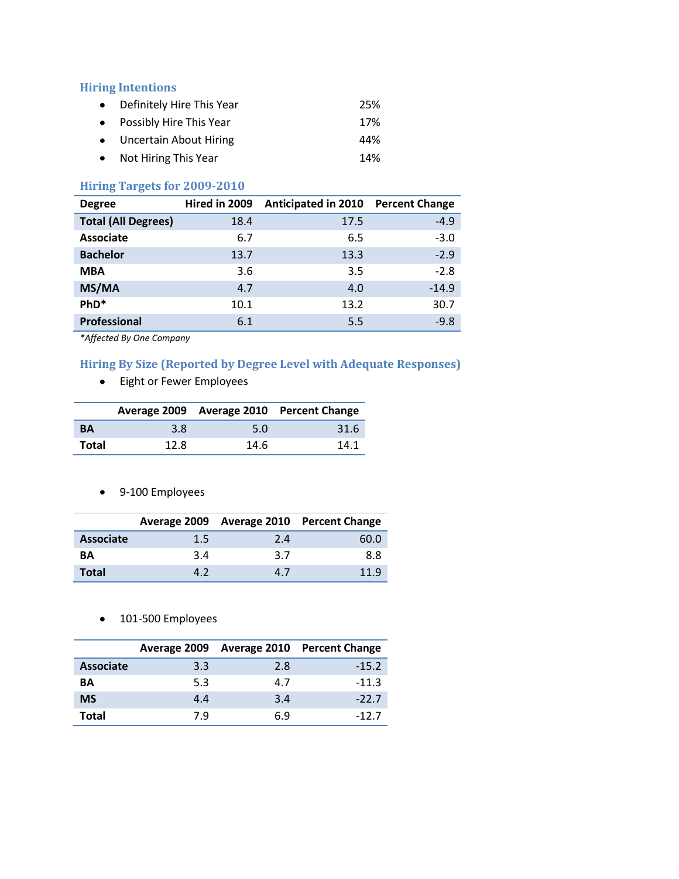#### **Hiring Intentions**

| • Definitely Hire This Year | 25% |
|-----------------------------|-----|
| • Possibly Hire This Year   | 17% |
| • Uncertain About Hiring    | 44% |
| • Not Hiring This Year      | 14% |

# **Hiring Targets for 2009-2010**

| <b>Degree</b>              | Hired in 2009 | <b>Anticipated in 2010</b> | <b>Percent Change</b> |
|----------------------------|---------------|----------------------------|-----------------------|
| <b>Total (All Degrees)</b> | 18.4          | 17.5                       | $-4.9$                |
| <b>Associate</b>           | 6.7           | 6.5                        | $-3.0$                |
| <b>Bachelor</b>            | 13.7          | 13.3                       | $-2.9$                |
| <b>MBA</b>                 | 3.6           | 3.5                        | $-2.8$                |
| MS/MA                      | 4.7           | 4.0                        | $-14.9$               |
| PhD*                       | 10.1          | 13.2                       | 30.7                  |
| <b>Professional</b>        | 6.1           | 5.5                        | $-9.8$                |

*\*Affected By One Company*

# **Hiring By Size (Reported by Degree Level with Adequate Responses)**

Eight or Fewer Employees

|           |      |      | Average 2009 Average 2010 Percent Change |
|-----------|------|------|------------------------------------------|
| <b>BA</b> | 3.8  | 5.0  | 31.6                                     |
| Total     | 12.8 | 14.6 | 14.1                                     |

9-100 Employees

|                  |     |     | Average 2009 Average 2010 Percent Change |
|------------------|-----|-----|------------------------------------------|
| <b>Associate</b> | 1.5 | 2.4 | 60.0                                     |
| BΑ               | 3.4 | 3.7 | 8.8                                      |
| <b>Total</b>     | 47  | 4.7 | 11 Q                                     |

• 101-500 Employees

|                  |     |     | Average 2009 Average 2010 Percent Change |
|------------------|-----|-----|------------------------------------------|
| <b>Associate</b> | 3.3 | 2.8 | $-15.2$                                  |
| ΒA               | 5.3 | 4.7 | $-11.3$                                  |
| <b>MS</b>        | 4.4 | 3.4 | $-22.7$                                  |
| Total            | 7.9 | 6.9 | -127                                     |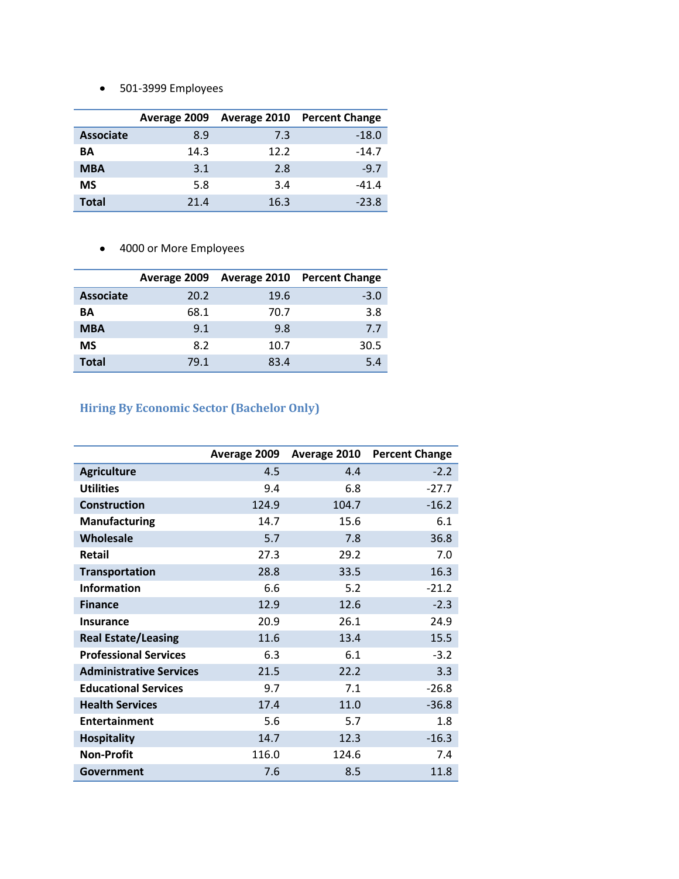501-3999 Employees

|                  | Average 2009 |      | <b>Average 2010 Percent Change</b> |
|------------------|--------------|------|------------------------------------|
| <b>Associate</b> | 8.9          | 7.3  | $-18.0$                            |
| ΒA               | 14.3         | 12.2 | $-14.7$                            |
| <b>MBA</b>       | 3.1          | 2.8  | $-9.7$                             |
| <b>MS</b>        | 5.8          | 3.4  | $-41.4$                            |
| Total            | 21.4         | 16.3 | $-23.8$                            |

4000 or More Employees

|                  |      |      | Average 2009 Average 2010 Percent Change |
|------------------|------|------|------------------------------------------|
| <b>Associate</b> | 20.2 | 19.6 | $-3.0$                                   |
| ΒA               | 68.1 | 70.7 | 3.8                                      |
| <b>MBA</b>       | 9.1  | 9.8  | 7.7                                      |
| <b>MS</b>        | 8.2  | 10.7 | 30.5                                     |
| <b>Total</b>     | 79.1 | 83.4 | 5.4                                      |

# **Hiring By Economic Sector (Bachelor Only)**

|                                | Average 2009 | Average 2010 | <b>Percent Change</b> |
|--------------------------------|--------------|--------------|-----------------------|
| <b>Agriculture</b>             | 4.5          | 4.4          | $-2.2$                |
| <b>Utilities</b>               | 9.4          | 6.8          | $-27.7$               |
| <b>Construction</b>            | 124.9        | 104.7        | $-16.2$               |
| <b>Manufacturing</b>           | 14.7         | 15.6         | 6.1                   |
| Wholesale                      | 5.7          | 7.8          | 36.8                  |
| Retail                         | 27.3         | 29.2         | 7.0                   |
| <b>Transportation</b>          | 28.8         | 33.5         | 16.3                  |
| <b>Information</b>             | 6.6          | 5.2          | $-21.2$               |
| <b>Finance</b>                 | 12.9         | 12.6         | $-2.3$                |
| <b>Insurance</b>               | 20.9         | 26.1         | 24.9                  |
| <b>Real Estate/Leasing</b>     | 11.6         | 13.4         | 15.5                  |
| <b>Professional Services</b>   | 6.3          | 6.1          | $-3.2$                |
| <b>Administrative Services</b> | 21.5         | 22.2         | 3.3                   |
| <b>Educational Services</b>    | 9.7          | 7.1          | $-26.8$               |
| <b>Health Services</b>         | 17.4         | 11.0         | $-36.8$               |
| <b>Entertainment</b>           | 5.6          | 5.7          | 1.8                   |
| <b>Hospitality</b>             | 14.7         | 12.3         | $-16.3$               |
| <b>Non-Profit</b>              | 116.0        | 124.6        | 7.4                   |
| Government                     | 7.6          | 8.5          | 11.8                  |